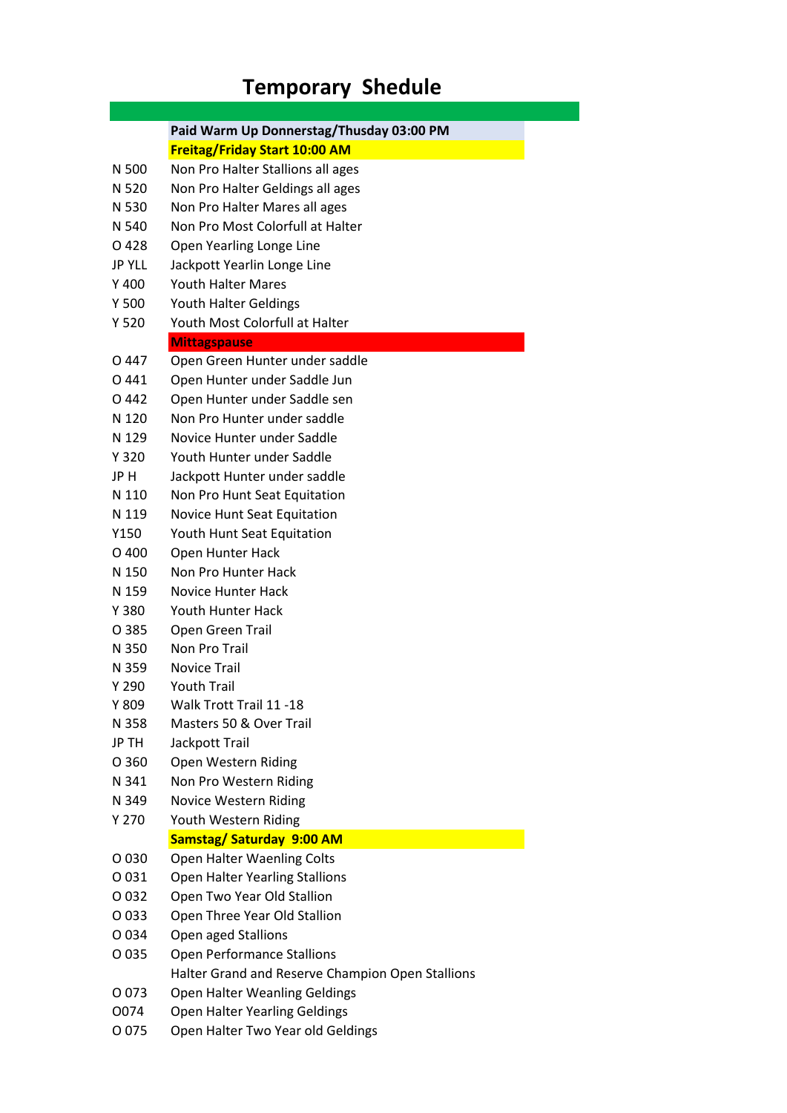## **Temporary Shedule**

|               | Paid Warm Up Donnerstag/Thusday 03:00 PM         |
|---------------|--------------------------------------------------|
|               | <b>Freitag/Friday Start 10:00 AM</b>             |
| N 500         | Non Pro Halter Stallions all ages                |
| N 520         | Non Pro Halter Geldings all ages                 |
| N 530         | Non Pro Halter Mares all ages                    |
| N 540         | Non Pro Most Colorfull at Halter                 |
| O 428         | Open Yearling Longe Line                         |
| <b>JP YLL</b> | Jackpott Yearlin Longe Line                      |
| Y 400         | <b>Youth Halter Mares</b>                        |
| Y 500         | <b>Youth Halter Geldings</b>                     |
| Y 520         | Youth Most Colorfull at Halter                   |
|               | <b>Mittagspause</b>                              |
| O 447         | Open Green Hunter under saddle                   |
| O 441         | Open Hunter under Saddle Jun                     |
| O 442         | Open Hunter under Saddle sen                     |
| N 120         | Non Pro Hunter under saddle                      |
| N 129         | Novice Hunter under Saddle                       |
| Y 320         | Youth Hunter under Saddle                        |
| JP H          | Jackpott Hunter under saddle                     |
| N 110         | Non Pro Hunt Seat Equitation                     |
| N 119         | Novice Hunt Seat Equitation                      |
| Y150          | Youth Hunt Seat Equitation                       |
| O 400         | Open Hunter Hack                                 |
| N 150         | Non Pro Hunter Hack                              |
| N 159         | <b>Novice Hunter Hack</b>                        |
| Y 380         | <b>Youth Hunter Hack</b>                         |
| O 385         | Open Green Trail                                 |
| N 350         | Non Pro Trail                                    |
| N 359         | <b>Novice Trail</b>                              |
| Y 290         | <b>Youth Trail</b>                               |
| Y 809         | Walk Trott Trail 11 -18                          |
| N 358         | Masters 50 & Over Trail                          |
| JP TH         | Jackpott Trail                                   |
| O 360         | Open Western Riding                              |
| N 341         | Non Pro Western Riding                           |
| N 349         | <b>Novice Western Riding</b>                     |
| Y 270         | Youth Western Riding                             |
|               | Samstag/ Saturday 9:00 AM                        |
| O 030         | Open Halter Waenling Colts                       |
| O 031         | <b>Open Halter Yearling Stallions</b>            |
| O 032         | Open Two Year Old Stallion                       |
| O 033         | Open Three Year Old Stallion                     |
|               |                                                  |
| O 034         | Open aged Stallions                              |
| O 035         | <b>Open Performance Stallions</b>                |
|               | Halter Grand and Reserve Champion Open Stallions |
| O 073         | <b>Open Halter Weanling Geldings</b>             |
| O074          | Open Halter Yearling Geldings                    |
| O 075         | Open Halter Two Year old Geldings                |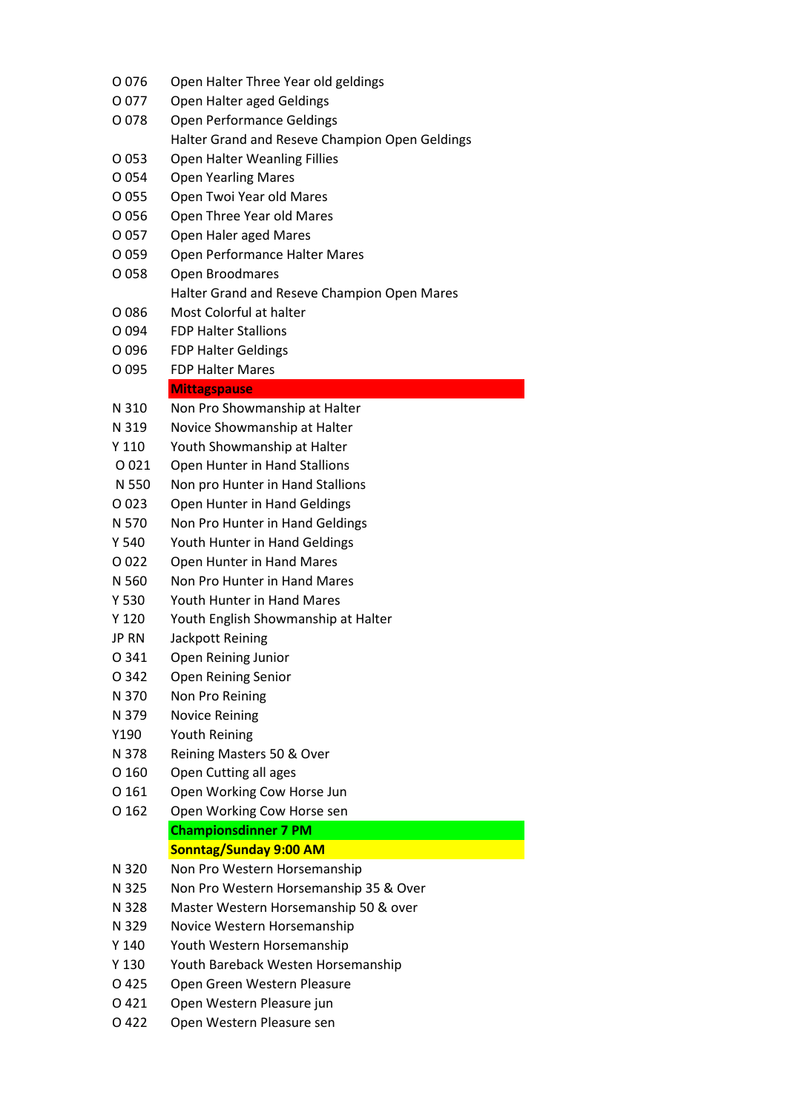| O 076            | Open Halter Three Year old geldings            |
|------------------|------------------------------------------------|
| O 077            | Open Halter aged Geldings                      |
| O 078            | Open Performance Geldings                      |
|                  | Halter Grand and Reseve Champion Open Geldings |
| O 053            | <b>Open Halter Weanling Fillies</b>            |
| O 054            | <b>Open Yearling Mares</b>                     |
| O 055            | Open Twoi Year old Mares                       |
| O 056            | Open Three Year old Mares                      |
| O 057            | Open Haler aged Mares                          |
| O 059            | Open Performance Halter Mares                  |
| O 058            | Open Broodmares                                |
|                  | Halter Grand and Reseve Champion Open Mares    |
| O 086            | Most Colorful at halter                        |
| O 094            | <b>FDP Halter Stallions</b>                    |
| O 096            | <b>FDP Halter Geldings</b>                     |
| O 095            | <b>FDP Halter Mares</b>                        |
|                  | <b>Mittagspause</b>                            |
| N 310            | Non Pro Showmanship at Halter                  |
| N 319            | Novice Showmanship at Halter                   |
| Y 110            | Youth Showmanship at Halter                    |
| O 021            | Open Hunter in Hand Stallions                  |
| N 550            | Non pro Hunter in Hand Stallions               |
| O 023            | Open Hunter in Hand Geldings                   |
| N 570            | Non Pro Hunter in Hand Geldings                |
| Y 540            | Youth Hunter in Hand Geldings                  |
| O 022            | Open Hunter in Hand Mares                      |
| N 560            | Non Pro Hunter in Hand Mares                   |
| Y 530            | Youth Hunter in Hand Mares                     |
| Y 120            |                                                |
| <b>JP RN</b>     | Youth English Showmanship at Halter            |
|                  | Jackpott Reining                               |
| O 341<br>O 342   | Open Reining Junior                            |
| N 370            | Open Reining Senior<br>Non Pro Reining         |
|                  |                                                |
| N 379            | <b>Novice Reining</b><br><b>Youth Reining</b>  |
| Y190             |                                                |
| N 378            | Reining Masters 50 & Over                      |
| O 160            | Open Cutting all ages                          |
| 0 1 6 1          | Open Working Cow Horse Jun                     |
| O 162            | Open Working Cow Horse sen                     |
|                  | <b>Championsdinner 7 PM</b>                    |
| N 320            | <b>Sonntag/Sunday 9:00 AM</b>                  |
|                  | Non Pro Western Horsemanship                   |
| N 325            | Non Pro Western Horsemanship 35 & Over         |
| N 328            | Master Western Horsemanship 50 & over          |
| N 329            | Novice Western Horsemanship                    |
| Y <sub>140</sub> | Youth Western Horsemanship                     |
| Y 130            | Youth Bareback Westen Horsemanship             |
| O 425            | Open Green Western Pleasure                    |
| 0 4 2 1          | Open Western Pleasure jun                      |
| O 422            | Open Western Pleasure sen                      |